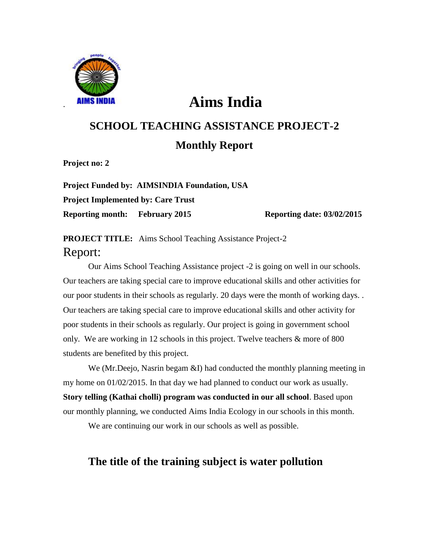

# . **Aims India**

## **SCHOOL TEACHING ASSISTANCE PROJECT-2 Monthly Report**

**Project no: 2**

**Project Funded by: AIMSINDIA Foundation, USA Project Implemented by: Care Trust Reporting month:** February 2015 Reporting date: 03/02/2015

**PROJECT TITLE:** Aims School Teaching Assistance Project-2 Report:

Our Aims School Teaching Assistance project -2 is going on well in our schools. Our teachers are taking special care to improve educational skills and other activities for our poor students in their schools as regularly. 20 days were the month of working days. . Our teachers are taking special care to improve educational skills and other activity for poor students in their schools as regularly. Our project is going in government school only. We are working in 12 schools in this project. Twelve teachers & more of 800 students are benefited by this project.

We (Mr.Deejo, Nasrin begam &I) had conducted the monthly planning meeting in my home on 01/02/2015. In that day we had planned to conduct our work as usually. **Story telling (Kathai cholli) program was conducted in our all school**. Based upon our monthly planning, we conducted Aims India Ecology in our schools in this month.

We are continuing our work in our schools as well as possible.

### **The title of the training subject is water pollution**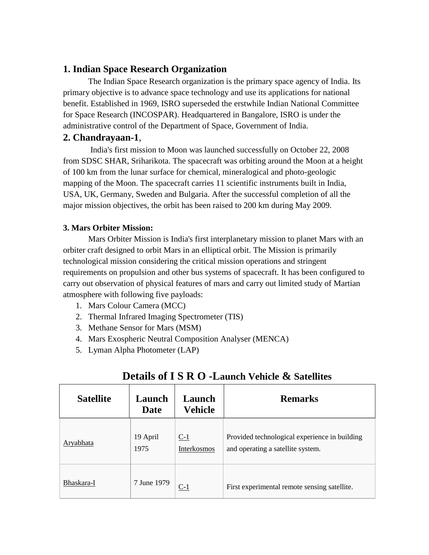#### **1. Indian Space Research Organization**

The Indian Space Research organization is the primary space agency of India. Its primary objective is to advance space technology and use its applications for national benefit. Established in 1969, ISRO superseded the erstwhile Indian National Committee for Space Research (INCOSPAR). Headquartered in Bangalore, ISRO is under the administrative control of the Department of Space, Government of India.

#### **2. Chandrayaan-1**,

India's first mission to Moon was launched successfully on October 22, 2008 from SDSC SHAR, Sriharikota. The spacecraft was orbiting around the Moon at a height of 100 km from the lunar surface for chemical, mineralogical and photo-geologic mapping of the Moon. The spacecraft carries 11 scientific instruments built in India, USA, UK, Germany, Sweden and Bulgaria. After the successful completion of all the major mission objectives, the orbit has been raised to 200 km during May 2009.

#### **3. Mars Orbiter Mission:**

Mars Orbiter Mission is India's first interplanetary mission to planet Mars with an orbiter craft designed to orbit Mars in an elliptical orbit. The Mission is primarily technological mission considering the critical mission operations and stringent requirements on propulsion and other bus systems of spacecraft. It has been configured to carry out observation of physical features of mars and carry out limited study of Martian atmosphere with following five payloads:

- 1. Mars Colour Camera (MCC)
- 2. Thermal Infrared Imaging Spectrometer (TIS)
- 3. Methane Sensor for Mars (MSM)
- 4. Mars Exospheric Neutral Composition Analyser (MENCA)
- 5. Lyman Alpha Photometer (LAP)

| <b>Satellite</b> | Launch<br>Date   | Launch<br><b>Vehicle</b> | <b>Remarks</b>                                                                     |
|------------------|------------------|--------------------------|------------------------------------------------------------------------------------|
| Aryabhata        | 19 April<br>1975 | $C-1$<br>Interkosmos     | Provided technological experience in building<br>and operating a satellite system. |
| Bhaskara-I       | 7 June 1979      | C-1                      | First experimental remote sensing satellite.                                       |

#### **Details of I S R O -Launch Vehicle & Satellites**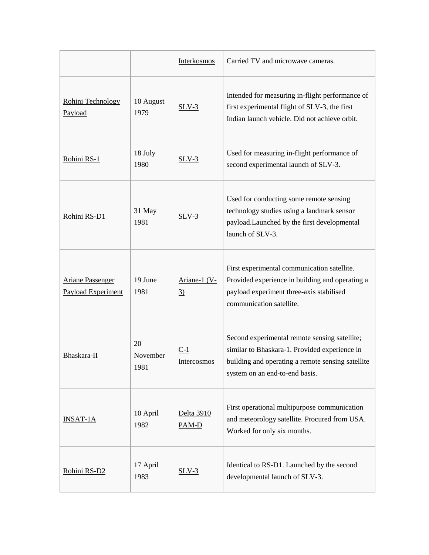|                                               |                        | Interkosmos                    | Carried TV and microwave cameras.                                                                                                                                                     |
|-----------------------------------------------|------------------------|--------------------------------|---------------------------------------------------------------------------------------------------------------------------------------------------------------------------------------|
| Rohini Technology<br>Payload                  | 10 August<br>1979      | $SLV-3$                        | Intended for measuring in-flight performance of<br>first experimental flight of SLV-3, the first<br>Indian launch vehicle. Did not achieve orbit.                                     |
| Rohini RS-1                                   | 18 July<br>1980        | $SLV-3$                        | Used for measuring in-flight performance of<br>second experimental launch of SLV-3.                                                                                                   |
| Rohini RS-D1                                  | 31 May<br>1981         | $SLV-3$                        | Used for conducting some remote sensing<br>technology studies using a landmark sensor<br>payload.Launched by the first developmental<br>launch of SLV-3.                              |
| <b>Ariane Passenger</b><br>Payload Experiment | 19 June<br>1981        | Ariane-1 (V-<br>$\overline{3}$ | First experimental communication satellite.<br>Provided experience in building and operating a<br>payload experiment three-axis stabilised<br>communication satellite.                |
| Bhaskara-II                                   | 20<br>November<br>1981 | $C-1$<br><b>Intercosmos</b>    | Second experimental remote sensing satellite;<br>similar to Bhaskara-1. Provided experience in<br>building and operating a remote sensing satellite<br>system on an end-to-end basis. |
| <b>INSAT-1A</b>                               | 10 April<br>1982       | Delta 3910<br>$PAM-D$          | First operational multipurpose communication<br>and meteorology satellite. Procured from USA.<br>Worked for only six months.                                                          |
| Rohini RS-D2                                  | 17 April<br>1983       | $SLV-3$                        | Identical to RS-D1. Launched by the second<br>developmental launch of SLV-3.                                                                                                          |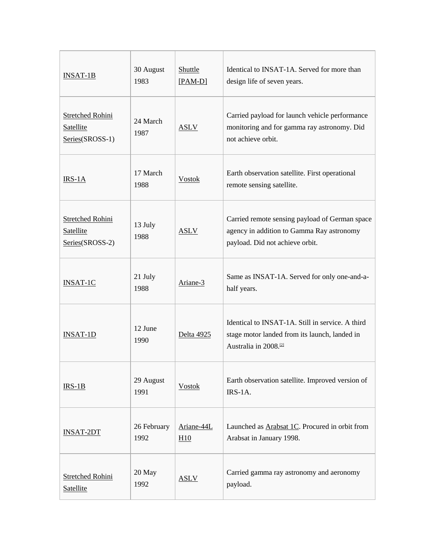| $INSAT-1B$                                                     | 30 August<br>1983   | Shuttle<br>$[PAM-D]$ | Identical to INSAT-1A. Served for more than<br>design life of seven years.                                                             |
|----------------------------------------------------------------|---------------------|----------------------|----------------------------------------------------------------------------------------------------------------------------------------|
| <b>Stretched Rohini</b><br><b>Satellite</b><br>Series(SROSS-1) | 24 March<br>1987    | <b>ASLV</b>          | Carried payload for launch vehicle performance<br>monitoring and for gamma ray astronomy. Did<br>not achieve orbit.                    |
| IRS-1A                                                         | 17 March<br>1988    | <b>Vostok</b>        | Earth observation satellite. First operational<br>remote sensing satellite.                                                            |
| Stretched Rohini<br>Satellite<br>Series(SROSS-2)               | 13 July<br>1988     | <b>ASLV</b>          | Carried remote sensing payload of German space<br>agency in addition to Gamma Ray astronomy<br>payload. Did not achieve orbit.         |
| <b>INSAT-1C</b>                                                | 21 July<br>1988     | Ariane-3             | Same as INSAT-1A. Served for only one-and-a-<br>half years.                                                                            |
| <b>INSAT-1D</b>                                                | 12 June<br>1990     | Delta 4925           | Identical to INSAT-1A. Still in service. A third<br>stage motor landed from its launch, landed in<br>Australia in 2008. <sup>[2]</sup> |
| $IRS-1B$                                                       | 29 August<br>1991   | <b>Vostok</b>        | Earth observation satellite. Improved version of<br>IRS-1A.                                                                            |
| <b>INSAT-2DT</b>                                               | 26 February<br>1992 | Ariane-44L<br>H10    | Launched as Arabsat 1C. Procured in orbit from<br>Arabsat in January 1998.                                                             |
| <b>Stretched Rohini</b><br>Satellite                           | 20 May<br>1992      | <b>ASLV</b>          | Carried gamma ray astronomy and aeronomy<br>payload.                                                                                   |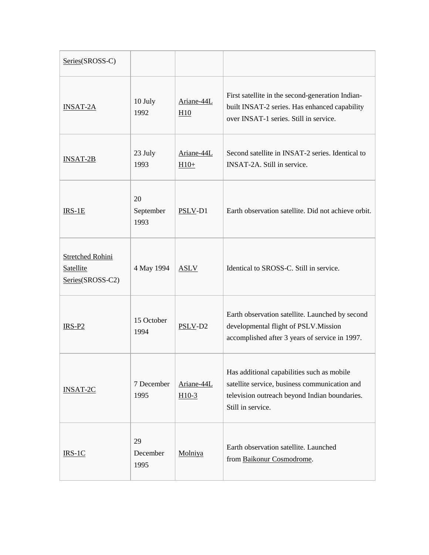| Series(SROSS-C)                                          |                         |                       |                                                                                                                                                                   |
|----------------------------------------------------------|-------------------------|-----------------------|-------------------------------------------------------------------------------------------------------------------------------------------------------------------|
| <b>INSAT-2A</b>                                          | 10 July<br>1992         | Ariane-44L<br>H10     | First satellite in the second-generation Indian-<br>built INSAT-2 series. Has enhanced capability<br>over INSAT-1 series. Still in service.                       |
| <b>INSAT-2B</b>                                          | 23 July<br>1993         | Ariane-44L<br>$H10+$  | Second satellite in INSAT-2 series. Identical to<br>INSAT-2A. Still in service.                                                                                   |
| $IRS-1E$                                                 | 20<br>September<br>1993 | PSLV-D1               | Earth observation satellite. Did not achieve orbit.                                                                                                               |
| <b>Stretched Rohini</b><br>Satellite<br>Series(SROSS-C2) | 4 May 1994              | <b>ASLV</b>           | Identical to SROSS-C. Still in service.                                                                                                                           |
| $IRS-P2$                                                 | 15 October<br>1994      | PSLV-D2               | Earth observation satellite. Launched by second<br>developmental flight of PSLV. Mission<br>accomplished after 3 years of service in 1997.                        |
| <b>INSAT-2C</b>                                          | 7 December<br>1995      | Ariane-44L<br>$H10-3$ | Has additional capabilities such as mobile<br>satellite service, business communication and<br>television outreach beyond Indian boundaries.<br>Still in service. |
| $IRS-1C$                                                 | 29<br>December<br>1995  | Molniya               | Earth observation satellite. Launched<br>from Baikonur Cosmodrome.                                                                                                |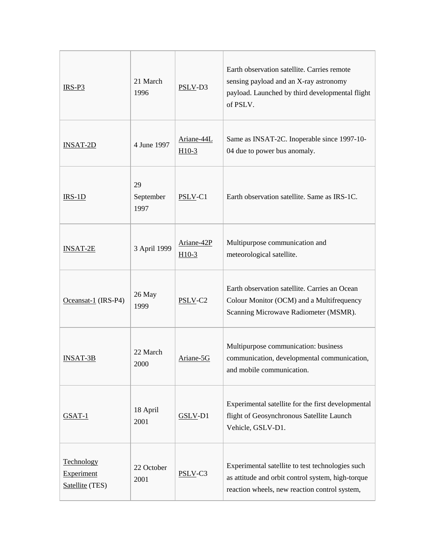| $IRS-P3$                                           | 21 March<br>1996        | PSLV-D3               | Earth observation satellite. Carries remote<br>sensing payload and an X-ray astronomy<br>payload. Launched by third developmental flight<br>of PSLV.   |
|----------------------------------------------------|-------------------------|-----------------------|--------------------------------------------------------------------------------------------------------------------------------------------------------|
| <b>INSAT-2D</b>                                    | 4 June 1997             | Ariane-44L<br>$H10-3$ | Same as INSAT-2C. Inoperable since 1997-10-<br>04 due to power bus anomaly.                                                                            |
| $IRS-1D$                                           | 29<br>September<br>1997 | PSLV-C1               | Earth observation satellite. Same as IRS-1C.                                                                                                           |
| <b>INSAT-2E</b>                                    | 3 April 1999            | Ariane-42P<br>$H10-3$ | Multipurpose communication and<br>meteorological satellite.                                                                                            |
| Oceansat- $1$ (IRS-P4)                             | 26 May<br>1999          | PSLV-C2               | Earth observation satellite. Carries an Ocean<br>Colour Monitor (OCM) and a Multifrequency<br>Scanning Microwave Radiometer (MSMR).                    |
| <b>INSAT-3B</b>                                    | 22 March<br>2000        | Ariane-5G             | Multipurpose communication: business<br>communication, developmental communication,<br>and mobile communication.                                       |
| GSAT-1                                             | 18 April<br>2001        | GSLV-D1               | Experimental satellite for the first developmental<br>flight of Geosynchronous Satellite Launch<br>Vehicle, GSLV-D1.                                   |
| Technology<br><b>Experiment</b><br>Satellite (TES) | 22 October<br>2001      | PSLV-C3               | Experimental satellite to test technologies such<br>as attitude and orbit control system, high-torque<br>reaction wheels, new reaction control system, |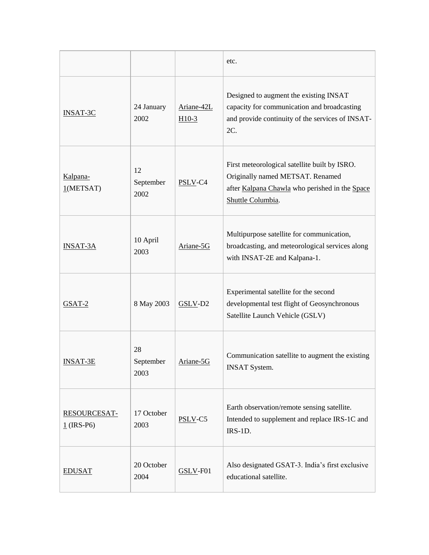|                              |                         |                       | etc.                                                                                                                                                     |
|------------------------------|-------------------------|-----------------------|----------------------------------------------------------------------------------------------------------------------------------------------------------|
| <b>INSAT-3C</b>              | 24 January<br>2002      | Ariane-42L<br>$H10-3$ | Designed to augment the existing INSAT<br>capacity for communication and broadcasting<br>and provide continuity of the services of INSAT-<br>2C.         |
| Kalpana-<br>1(METSAT)        | 12<br>September<br>2002 | PSLV-C4               | First meteorological satellite built by ISRO.<br>Originally named METSAT. Renamed<br>after Kalpana Chawla who perished in the Space<br>Shuttle Columbia. |
| <b>INSAT-3A</b>              | 10 April<br>2003        | Ariane-5G             | Multipurpose satellite for communication,<br>broadcasting, and meteorological services along<br>with INSAT-2E and Kalpana-1.                             |
| $GSAT-2$                     | 8 May 2003              | $GSLV$ -D2            | Experimental satellite for the second<br>developmental test flight of Geosynchronous<br>Satellite Launch Vehicle (GSLV)                                  |
| <b>INSAT-3E</b>              | 28<br>September<br>2003 | Ariane-5G             | Communication satellite to augment the existing<br><b>INSAT System.</b>                                                                                  |
| RESOURCESAT-<br>$1$ (IRS-P6) | 17 October<br>2003      | PSLV-C5               | Earth observation/remote sensing satellite.<br>Intended to supplement and replace IRS-1C and<br>IRS-1D.                                                  |
| <b>EDUSAT</b>                | 20 October<br>2004      | GSLV-F01              | Also designated GSAT-3. India's first exclusive<br>educational satellite.                                                                                |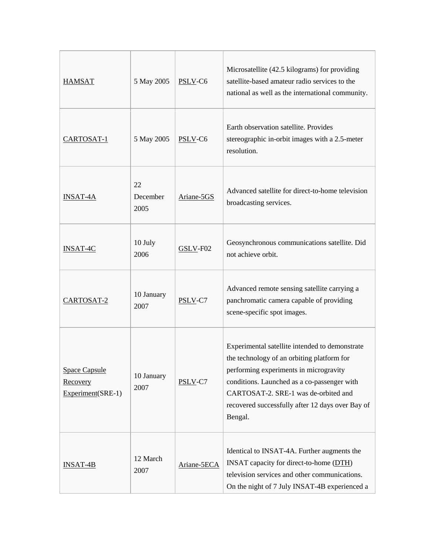| <b>HAMSAT</b>                                         | 5 May 2005             | PSLV-C6     | Microsatellite (42.5 kilograms) for providing<br>satellite-based amateur radio services to the<br>national as well as the international community.                                                                                                                                           |
|-------------------------------------------------------|------------------------|-------------|----------------------------------------------------------------------------------------------------------------------------------------------------------------------------------------------------------------------------------------------------------------------------------------------|
| CARTOSAT-1                                            | 5 May 2005             | $PSLV-C6$   | Earth observation satellite. Provides<br>stereographic in-orbit images with a 2.5-meter<br>resolution.                                                                                                                                                                                       |
| <b>INSAT-4A</b>                                       | 22<br>December<br>2005 | Ariane-5GS  | Advanced satellite for direct-to-home television<br>broadcasting services.                                                                                                                                                                                                                   |
| <b>INSAT-4C</b>                                       | 10 July<br>2006        | $GSLV$ -F02 | Geosynchronous communications satellite. Did<br>not achieve orbit.                                                                                                                                                                                                                           |
| CARTOSAT-2                                            | 10 January<br>2007     | PSLV-C7     | Advanced remote sensing satellite carrying a<br>panchromatic camera capable of providing<br>scene-specific spot images.                                                                                                                                                                      |
| <b>Space Capsule</b><br>Recovery<br>Experiment(SRE-1) | 10 January<br>2007     | PSLV-C7     | Experimental satellite intended to demonstrate<br>the technology of an orbiting platform for<br>performing experiments in microgravity<br>conditions. Launched as a co-passenger with<br>CARTOSAT-2. SRE-1 was de-orbited and<br>recovered successfully after 12 days over Bay of<br>Bengal. |
| $INSAT-4B$                                            | 12 March<br>2007       | Ariane-5ECA | Identical to INSAT-4A. Further augments the<br>INSAT capacity for direct-to-home (DTH)<br>television services and other communications.<br>On the night of 7 July INSAT-4B experienced a                                                                                                     |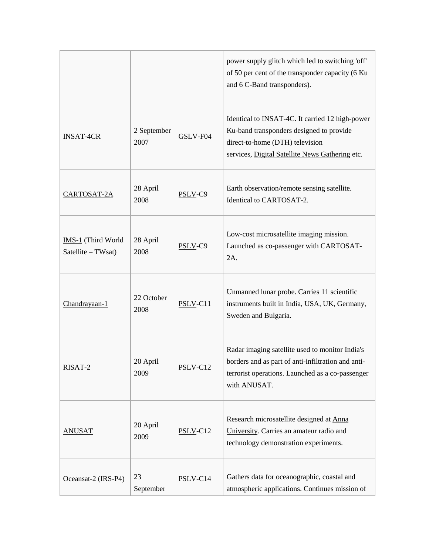|                                          |                     |            | power supply glitch which led to switching 'off'<br>of 50 per cent of the transponder capacity (6 Ku<br>and 6 C-Band transponders).                                               |
|------------------------------------------|---------------------|------------|-----------------------------------------------------------------------------------------------------------------------------------------------------------------------------------|
| <b>INSAT-4CR</b>                         | 2 September<br>2007 | GSLV-F04   | Identical to INSAT-4C. It carried 12 high-power<br>Ku-band transponders designed to provide<br>direct-to-home (DTH) television<br>services, Digital Satellite News Gathering etc. |
| CARTOSAT-2A                              | 28 April<br>2008    | PSLV-C9    | Earth observation/remote sensing satellite.<br>Identical to CARTOSAT-2.                                                                                                           |
| IMS-1 (Third World<br>Satellite - TWsat) | 28 April<br>2008    | PSLV-C9    | Low-cost microsatellite imaging mission.<br>Launched as co-passenger with CARTOSAT-<br>2A.                                                                                        |
| Chandrayaan-1                            | 22 October<br>2008  | $PSLV-C11$ | Unmanned lunar probe. Carries 11 scientific<br>instruments built in India, USA, UK, Germany,<br>Sweden and Bulgaria.                                                              |
| RISAT-2                                  | 20 April<br>2009    | $PSLV-C12$ | Radar imaging satellite used to monitor India's<br>borders and as part of anti-infiltration and anti-<br>terrorist operations. Launched as a co-passenger<br>with ANUSAT.         |
| <b>ANUSAT</b>                            | 20 April<br>2009    | $PSLV-C12$ | Research microsatellite designed at Anna<br>University. Carries an amateur radio and<br>technology demonstration experiments.                                                     |
| Oceansat-2 (IRS-P4)                      | 23<br>September     | $PSLV-C14$ | Gathers data for oceanographic, coastal and<br>atmospheric applications. Continues mission of                                                                                     |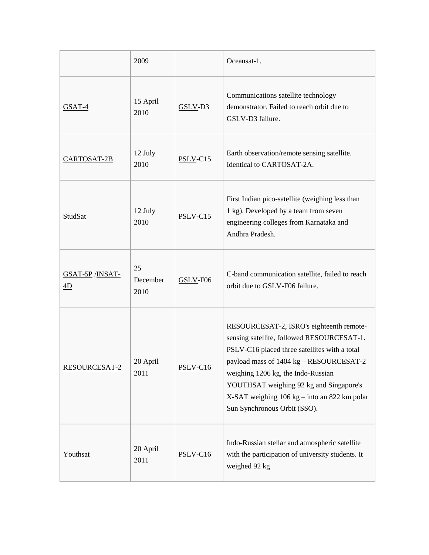|                                      | 2009                   |             | Oceansat-1.                                                                                                                                                                                                                                                                                                                                         |
|--------------------------------------|------------------------|-------------|-----------------------------------------------------------------------------------------------------------------------------------------------------------------------------------------------------------------------------------------------------------------------------------------------------------------------------------------------------|
| $GSAT-4$                             | 15 April<br>2010       | GSLV-D3     | Communications satellite technology<br>demonstrator. Failed to reach orbit due to<br>GSLV-D3 failure.                                                                                                                                                                                                                                               |
| CARTOSAT-2B                          | 12 July<br>2010        | $PSLV-Cl5$  | Earth observation/remote sensing satellite.<br>Identical to CARTOSAT-2A.                                                                                                                                                                                                                                                                            |
| <b>StudSat</b>                       | 12 July<br>2010        | $PSLV-Cl5$  | First Indian pico-satellite (weighing less than<br>1 kg). Developed by a team from seven<br>engineering colleges from Karnataka and<br>Andhra Pradesh.                                                                                                                                                                                              |
| <b>GSAT-5P</b> / <b>INSAT-</b><br>4D | 25<br>December<br>2010 | $GSLV$ -F06 | C-band communication satellite, failed to reach<br>orbit due to GSLV-F06 failure.                                                                                                                                                                                                                                                                   |
| <b>RESOURCESAT-2</b>                 | 20 April<br>2011       | $PSLV-C16$  | RESOURCESAT-2, ISRO's eighteenth remote-<br>sensing satellite, followed RESOURCESAT-1.<br>PSLV-C16 placed three satellites with a total<br>payload mass of 1404 kg - RESOURCESAT-2<br>weighing 1206 kg, the Indo-Russian<br>YOUTHSAT weighing 92 kg and Singapore's<br>X-SAT weighing 106 kg – into an 822 km polar<br>Sun Synchronous Orbit (SSO). |
| Youthsat                             | 20 April<br>2011       | $PSLV-C16$  | Indo-Russian stellar and atmospheric satellite<br>with the participation of university students. It<br>weighed 92 kg                                                                                                                                                                                                                                |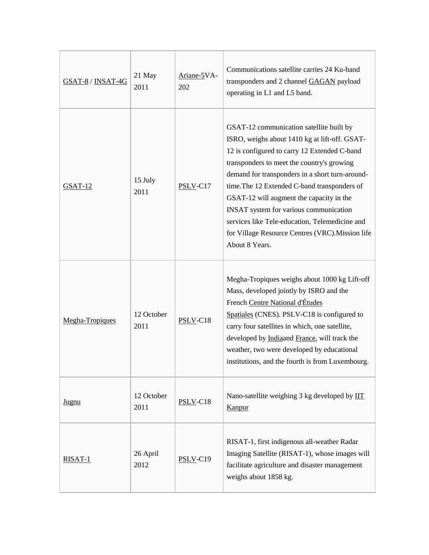| GSAT-8 / INSAT-4G | 21 May<br>2011     | Ariane-5VA-<br>202 | Communications satellite carries 24 Ku-band<br>transponders and 2 channel GAGAN payload<br>operating in L1 and L5 band.                                                                                                                                                                                                                                                                                                                                                                                  |
|-------------------|--------------------|--------------------|----------------------------------------------------------------------------------------------------------------------------------------------------------------------------------------------------------------------------------------------------------------------------------------------------------------------------------------------------------------------------------------------------------------------------------------------------------------------------------------------------------|
| $GSAT-12$         | 15 July<br>2011    | PSLV-C17           | GSAT-12 communication satellite built by<br>ISRO, weighs about 1410 kg at lift-off. GSAT-<br>12 is configured to carry 12 Extended C-band<br>transponders to meet the country's growing<br>demand for transponders in a short turn-around-<br>time. The 12 Extended C-band transponders of<br>GSAT-12 will augment the capacity in the<br>INSAT system for various communication<br>services like Tele-education, Telemedicine and<br>for Village Resource Centres (VRC). Mission life<br>About 8 Years. |
| Megha-Tropiques   | 12 October<br>2011 | PSLV-C18           | Megha-Tropiques weighs about 1000 kg Lift-off<br>Mass, developed jointly by ISRO and the<br>French Centre National d'Études<br>Spatiales (CNES). PSLV-C18 is configured to<br>carry four satellites in which, one satellite,<br>developed by Indiaand France, will track the<br>weather, two were developed by educational<br>institutions, and the fourth is from Luxembourg.                                                                                                                           |
| Jugnu             | 12 October<br>2011 | $PSLV-C18$         | Nano-satellite weighing 3 kg developed by IIT<br>Kanpur                                                                                                                                                                                                                                                                                                                                                                                                                                                  |
| RISAT-1           | 26 April<br>2012   | $PSLV-C19$         | RISAT-1, first indigenous all-weather Radar<br>Imaging Satellite (RISAT-1), whose images will<br>facilitate agriculture and disaster management<br>weighs about 1858 kg.                                                                                                                                                                                                                                                                                                                                 |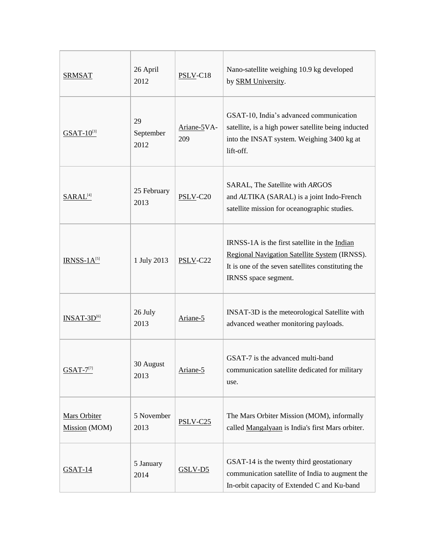| <b>SRMSAT</b>                        | 26 April<br>2012        | $PSLV-C18$         | Nano-satellite weighing 10.9 kg developed<br>by SRM University.                                                                                                              |
|--------------------------------------|-------------------------|--------------------|------------------------------------------------------------------------------------------------------------------------------------------------------------------------------|
| $GSAT-10^{3}$                        | 29<br>September<br>2012 | Ariane-5VA-<br>209 | GSAT-10, India's advanced communication<br>satellite, is a high power satellite being inducted<br>into the INSAT system. Weighing 3400 kg at<br>lift-off.                    |
| SARAL <sup>[4]</sup>                 | 25 February<br>2013     | $PSLV-C20$         | SARAL, The Satellite with ARGOS<br>and ALTIKA (SARAL) is a joint Indo-French<br>satellite mission for oceanographic studies.                                                 |
| $IRNSS-1A[5]$                        | 1 July 2013             | $PSLV$ -C22        | IRNSS-1A is the first satellite in the Indian<br>Regional Navigation Satellite System (IRNSS).<br>It is one of the seven satellites constituting the<br>IRNSS space segment. |
| $INSAT-3D[6]$                        | 26 July<br>2013         | Ariane-5           | INSAT-3D is the meteorological Satellite with<br>advanced weather monitoring payloads.                                                                                       |
| $GSAT-7^{[7]}$                       | 30 August<br>2013       | Ariane-5           | GSAT-7 is the advanced multi-band<br>communication satellite dedicated for military<br>use.                                                                                  |
| <b>Mars Orbiter</b><br>Mission (MOM) | 5 November<br>2013      | $PSLV-C25$         | The Mars Orbiter Mission (MOM), informally<br>called Mangalyaan is India's first Mars orbiter.                                                                               |
| $GSAT-14$                            | 5 January<br>2014       | $GSLV-D5$          | GSAT-14 is the twenty third geostationary<br>communication satellite of India to augment the<br>In-orbit capacity of Extended C and Ku-band                                  |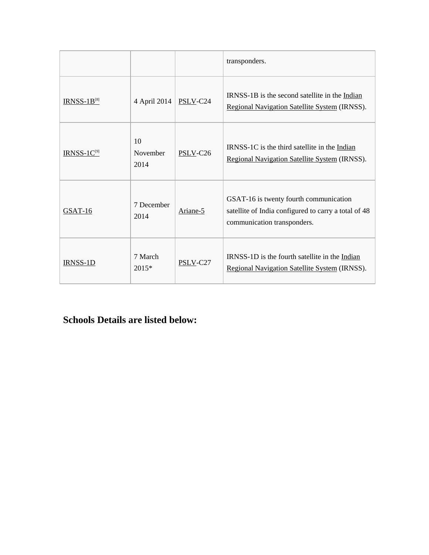|                         |                        |                      | transponders.                                                                                                                 |
|-------------------------|------------------------|----------------------|-------------------------------------------------------------------------------------------------------------------------------|
| $IRNSS-1B[8]$           | 4 April 2014           | PSLV-C24             | IRNSS-1B is the second satellite in the Indian<br>Regional Navigation Satellite System (IRNSS).                               |
| IRNSS-1C <sup>[9]</sup> | 10<br>November<br>2014 | PSLV-C <sub>26</sub> | IRNSS-1C is the third satellite in the Indian<br>Regional Navigation Satellite System (IRNSS).                                |
| GSAT-16                 | 7 December<br>2014     | Ariane-5             | GSAT-16 is twenty fourth communication<br>satellite of India configured to carry a total of 48<br>communication transponders. |
| <b>IRNSS-1D</b>         | 7 March<br>$2015*$     | PSLV-C27             | IRNSS-1D is the fourth satellite in the Indian<br>Regional Navigation Satellite System (IRNSS).                               |

### **Schools Details are listed below:**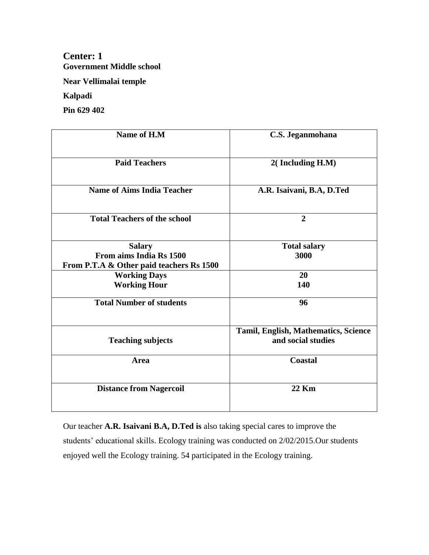#### **Center: 1 Government Middle school**

**Near Vellimalai temple**

**Kalpadi**

**Pin 629 402**

| Name of H.M                              | C.S. Jeganmohana                     |
|------------------------------------------|--------------------------------------|
| <b>Paid Teachers</b>                     | 2(Including H.M)                     |
| <b>Name of Aims India Teacher</b>        | A.R. Isaivani, B.A, D.Ted            |
| <b>Total Teachers of the school</b>      | $\overline{2}$                       |
| <b>Salary</b>                            | <b>Total salary</b>                  |
| From aims India Rs 1500                  | 3000                                 |
| From P.T.A & Other paid teachers Rs 1500 |                                      |
| <b>Working Days</b>                      | 20                                   |
| <b>Working Hour</b>                      | 140                                  |
| <b>Total Number of students</b>          | 96                                   |
|                                          | Tamil, English, Mathematics, Science |
| <b>Teaching subjects</b>                 | and social studies                   |
| <b>Area</b>                              | <b>Coastal</b>                       |
| <b>Distance from Nagercoil</b>           | 22 Km                                |

Our teacher **A.R. Isaivani B.A, D.Ted is** also taking special cares to improve the students' educational skills. Ecology training was conducted on 2/02/2015.Our students enjoyed well the Ecology training. 54 participated in the Ecology training.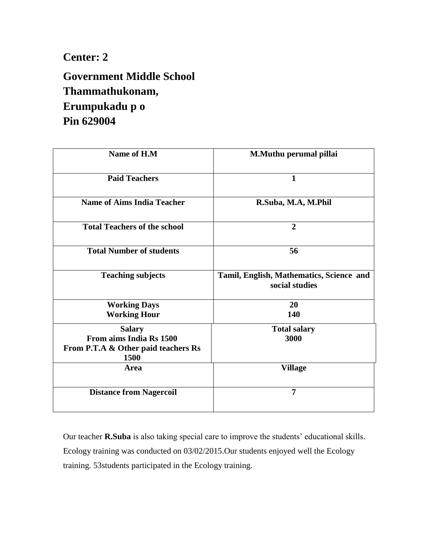**Government Middle School Thammathukonam, Erumpukadu p o Pin 629004**

| Name of H.M                                                            | M.Muthu perumal pillai                                     |
|------------------------------------------------------------------------|------------------------------------------------------------|
| <b>Paid Teachers</b>                                                   | $\mathbf{1}$                                               |
| <b>Name of Aims India Teacher</b>                                      | R.Suba, M.A, M.Phil                                        |
| <b>Total Teachers of the school</b>                                    | $\overline{2}$                                             |
| <b>Total Number of students</b>                                        | 56                                                         |
| <b>Teaching subjects</b>                                               | Tamil, English, Mathematics, Science and<br>social studies |
| <b>Working Days</b>                                                    | 20                                                         |
| <b>Working Hour</b>                                                    | 140                                                        |
| <b>Salary</b>                                                          | <b>Total salary</b>                                        |
| From aims India Rs 1500<br>From P.T.A & Other paid teachers Rs<br>1500 | 3000                                                       |
| Area                                                                   | <b>Village</b>                                             |
| <b>Distance from Nagercoil</b>                                         | $\overline{7}$                                             |

Our teacher **R.Suba** is also taking special care to improve the students' educational skills. Ecology training was conducted on 03/02/2015.Our students enjoyed well the Ecology training. 53students participated in the Ecology training.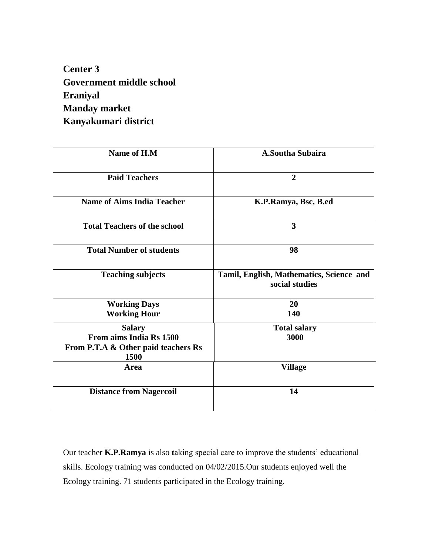**Center 3 Government middle school Eraniyal Manday market Kanyakumari district**

| Name of H.M                                 | <b>A.Southa Subaira</b>                                    |
|---------------------------------------------|------------------------------------------------------------|
| <b>Paid Teachers</b>                        | $\overline{2}$                                             |
| <b>Name of Aims India Teacher</b>           | K.P.Ramya, Bsc, B.ed                                       |
| <b>Total Teachers of the school</b>         | 3                                                          |
| <b>Total Number of students</b>             | 98                                                         |
| <b>Teaching subjects</b>                    | Tamil, English, Mathematics, Science and<br>social studies |
| <b>Working Days</b>                         | 20                                                         |
| <b>Working Hour</b>                         | 140                                                        |
| <b>Salary</b>                               | <b>Total salary</b>                                        |
| From aims India Rs 1500                     | 3000                                                       |
| From P.T.A & Other paid teachers Rs<br>1500 |                                                            |
| Area                                        | <b>Village</b>                                             |
| <b>Distance from Nagercoil</b>              | 14                                                         |

Our teacher **K.P.Ramya** is also **t**aking special care to improve the students' educational skills. Ecology training was conducted on 04/02/2015.Our students enjoyed well the Ecology training. 71 students participated in the Ecology training.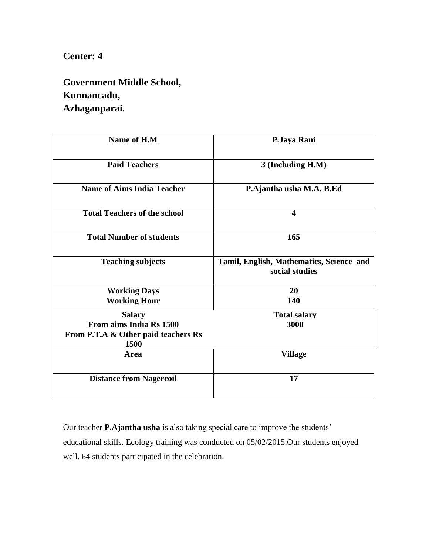### **Government Middle School, Kunnancadu, Azhaganparai.**

| Name of H.M                                                            | P.Jaya Rani                                                |
|------------------------------------------------------------------------|------------------------------------------------------------|
| <b>Paid Teachers</b>                                                   | 3 (Including H.M)                                          |
| <b>Name of Aims India Teacher</b>                                      | P.Ajantha usha M.A, B.Ed                                   |
| <b>Total Teachers of the school</b>                                    | $\overline{\mathbf{4}}$                                    |
| <b>Total Number of students</b>                                        | 165                                                        |
| <b>Teaching subjects</b>                                               | Tamil, English, Mathematics, Science and<br>social studies |
| <b>Working Days</b>                                                    | 20                                                         |
| <b>Working Hour</b>                                                    | 140                                                        |
| <b>Salary</b>                                                          | <b>Total salary</b>                                        |
| From aims India Rs 1500<br>From P.T.A & Other paid teachers Rs<br>1500 | 3000                                                       |
| <b>Area</b>                                                            | <b>Village</b>                                             |
| <b>Distance from Nagercoil</b>                                         | 17                                                         |

Our teacher **P.Ajantha usha** is also taking special care to improve the students' educational skills. Ecology training was conducted on 05/02/2015.Our students enjoyed well. 64 students participated in the celebration.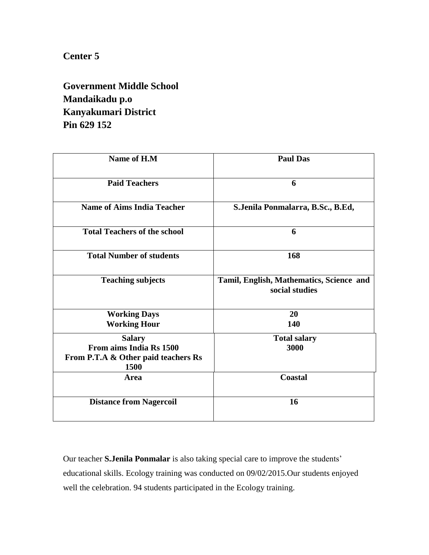**Government Middle School Mandaikadu p.o Kanyakumari District Pin 629 152**

| Name of H.M                                                                             | <b>Paul Das</b>                                            |
|-----------------------------------------------------------------------------------------|------------------------------------------------------------|
| <b>Paid Teachers</b>                                                                    | 6                                                          |
| <b>Name of Aims India Teacher</b>                                                       | S.Jenila Ponmalarra, B.Sc., B.Ed,                          |
| <b>Total Teachers of the school</b>                                                     | 6                                                          |
| <b>Total Number of students</b>                                                         | 168                                                        |
| <b>Teaching subjects</b>                                                                | Tamil, English, Mathematics, Science and<br>social studies |
| <b>Working Days</b><br><b>Working Hour</b>                                              | 20<br>140                                                  |
| <b>Salary</b><br>From aims India Rs 1500<br>From P.T.A & Other paid teachers Rs<br>1500 | <b>Total salary</b><br>3000                                |
| <b>Area</b>                                                                             | Coastal                                                    |
| <b>Distance from Nagercoil</b>                                                          | 16                                                         |

Our teacher **S.Jenila Ponmalar** is also taking special care to improve the students' educational skills. Ecology training was conducted on 09/02/2015.Our students enjoyed well the celebration. 94 students participated in the Ecology training.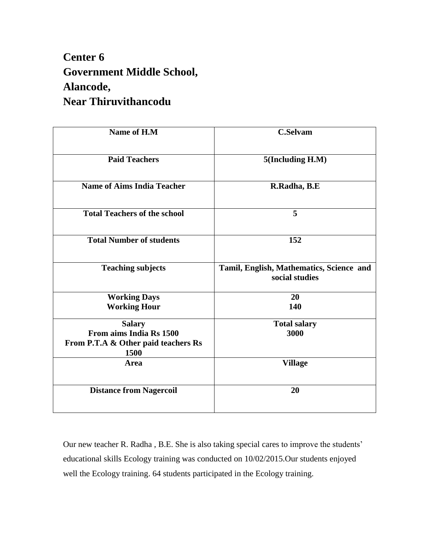## **Center 6 Government Middle School, Alancode, Near Thiruvithancodu**

| Name of H.M                                 | <b>C.Selvam</b>                                            |
|---------------------------------------------|------------------------------------------------------------|
| <b>Paid Teachers</b>                        | 5(Including H.M)                                           |
| <b>Name of Aims India Teacher</b>           | R.Radha, B.E                                               |
| <b>Total Teachers of the school</b>         | 5                                                          |
| <b>Total Number of students</b>             | 152                                                        |
| <b>Teaching subjects</b>                    | Tamil, English, Mathematics, Science and<br>social studies |
| <b>Working Days</b>                         | 20                                                         |
| <b>Working Hour</b>                         | 140                                                        |
| <b>Salary</b>                               | <b>Total salary</b>                                        |
| From aims India Rs 1500                     | 3000                                                       |
| From P.T.A & Other paid teachers Rs<br>1500 |                                                            |
| Area                                        | <b>Village</b>                                             |
| <b>Distance from Nagercoil</b>              | 20                                                         |

Our new teacher R. Radha , B.E. She is also taking special cares to improve the students' educational skills Ecology training was conducted on 10/02/2015.Our students enjoyed well the Ecology training. 64 students participated in the Ecology training.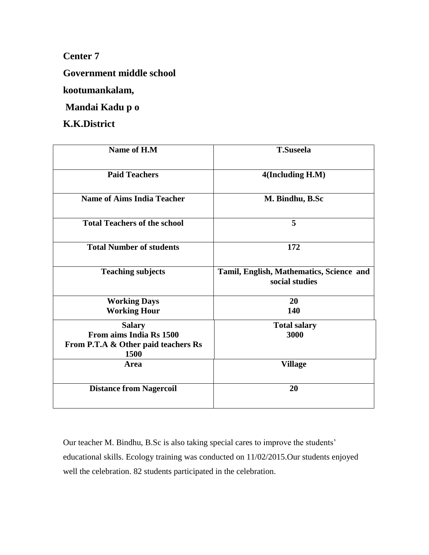**Government middle school**

**kootumankalam,**

**Mandai Kadu p o**

**K.K.District**

| Name of H.M                                                            | <b>T.Suseela</b>                                           |
|------------------------------------------------------------------------|------------------------------------------------------------|
| <b>Paid Teachers</b>                                                   | 4(Including H.M)                                           |
| <b>Name of Aims India Teacher</b>                                      | M. Bindhu, B.Sc                                            |
| <b>Total Teachers of the school</b>                                    | 5                                                          |
| <b>Total Number of students</b>                                        | 172                                                        |
| <b>Teaching subjects</b>                                               | Tamil, English, Mathematics, Science and<br>social studies |
| <b>Working Days</b>                                                    | 20                                                         |
| <b>Working Hour</b>                                                    | 140                                                        |
| <b>Salary</b>                                                          | <b>Total salary</b>                                        |
| From aims India Rs 1500<br>From P.T.A & Other paid teachers Rs<br>1500 | 3000                                                       |
| Area                                                                   | <b>Village</b>                                             |
| <b>Distance from Nagercoil</b>                                         | 20                                                         |

Our teacher M. Bindhu, B.Sc is also taking special cares to improve the students' educational skills. Ecology training was conducted on 11/02/2015.Our students enjoyed well the celebration. 82 students participated in the celebration.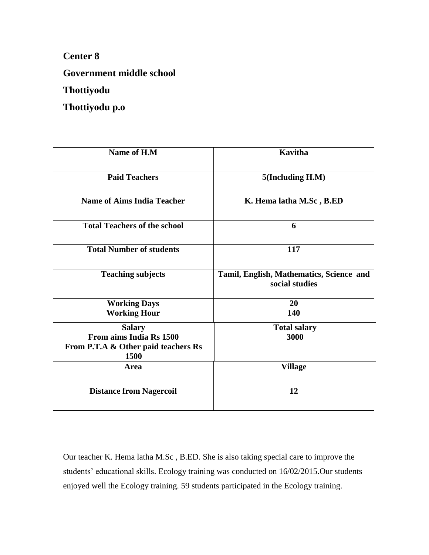**Government middle school**

**Thottiyodu**

**Thottiyodu p.o** 

| Name of H.M                                 | <b>Kavitha</b>                                             |
|---------------------------------------------|------------------------------------------------------------|
| <b>Paid Teachers</b>                        | 5(Including H.M)                                           |
| <b>Name of Aims India Teacher</b>           | K. Hema latha M.Sc, B.ED                                   |
| <b>Total Teachers of the school</b>         | 6                                                          |
| <b>Total Number of students</b>             | 117                                                        |
| <b>Teaching subjects</b>                    | Tamil, English, Mathematics, Science and<br>social studies |
| <b>Working Days</b>                         | 20                                                         |
| <b>Working Hour</b>                         | 140                                                        |
| <b>Salary</b>                               | <b>Total salary</b>                                        |
| From aims India Rs 1500                     | 3000                                                       |
| From P.T.A & Other paid teachers Rs<br>1500 |                                                            |
| Area                                        | <b>Village</b>                                             |
| <b>Distance from Nagercoil</b>              | 12                                                         |

Our teacher K. Hema latha M.Sc , B.ED. She is also taking special care to improve the students' educational skills. Ecology training was conducted on 16/02/2015.Our students enjoyed well the Ecology training. 59 students participated in the Ecology training.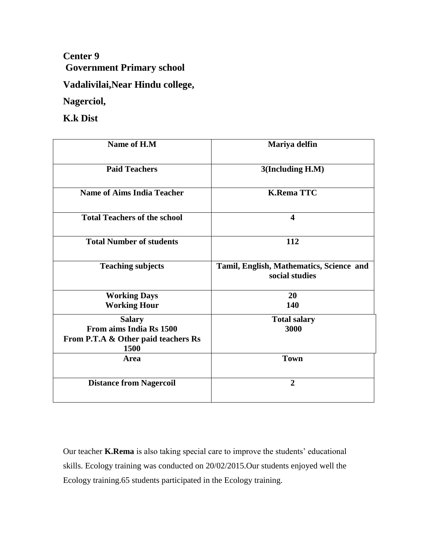**Center 9 Government Primary school**

**Vadalivilai,Near Hindu college,**

**Nagerciol,**

**K.k Dist**

| Name of H.M                                                            | Mariya delfin                                              |
|------------------------------------------------------------------------|------------------------------------------------------------|
| <b>Paid Teachers</b>                                                   | 3(Including H.M)                                           |
| <b>Name of Aims India Teacher</b>                                      | <b>K.Rema TTC</b>                                          |
| <b>Total Teachers of the school</b>                                    | $\overline{\mathbf{4}}$                                    |
| <b>Total Number of students</b>                                        | 112                                                        |
| <b>Teaching subjects</b>                                               | Tamil, English, Mathematics, Science and<br>social studies |
| <b>Working Days</b>                                                    | 20                                                         |
| <b>Working Hour</b>                                                    | 140                                                        |
| <b>Salary</b>                                                          | <b>Total salary</b>                                        |
| From aims India Rs 1500<br>From P.T.A & Other paid teachers Rs<br>1500 | 3000                                                       |
| Area                                                                   | <b>Town</b>                                                |
| <b>Distance from Nagercoil</b>                                         | $\overline{2}$                                             |

Our teacher **K.Rema** is also taking special care to improve the students' educational skills. Ecology training was conducted on 20/02/2015.Our students enjoyed well the Ecology training.65 students participated in the Ecology training.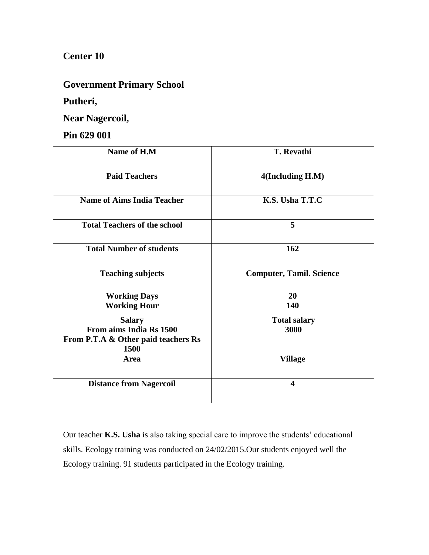#### **Government Primary School**

#### **Putheri,**

**Near Nagercoil,**

#### **Pin 629 001**

| Name of H.M                                 | <b>T. Revathi</b>               |
|---------------------------------------------|---------------------------------|
| <b>Paid Teachers</b>                        | 4(Including H.M)                |
| <b>Name of Aims India Teacher</b>           | K.S. Usha T.T.C                 |
| <b>Total Teachers of the school</b>         | 5                               |
| <b>Total Number of students</b>             | 162                             |
| <b>Teaching subjects</b>                    | <b>Computer, Tamil. Science</b> |
| <b>Working Days</b>                         | <b>20</b>                       |
| <b>Working Hour</b>                         | 140                             |
| <b>Salary</b>                               | <b>Total salary</b>             |
| From aims India Rs 1500                     | 3000                            |
| From P.T.A & Other paid teachers Rs<br>1500 |                                 |
| Area                                        | <b>Village</b>                  |
| <b>Distance from Nagercoil</b>              | $\overline{\mathbf{4}}$         |

Our teacher **K.S. Usha** is also taking special care to improve the students' educational skills. Ecology training was conducted on 24/02/2015.Our students enjoyed well the Ecology training. 91 students participated in the Ecology training.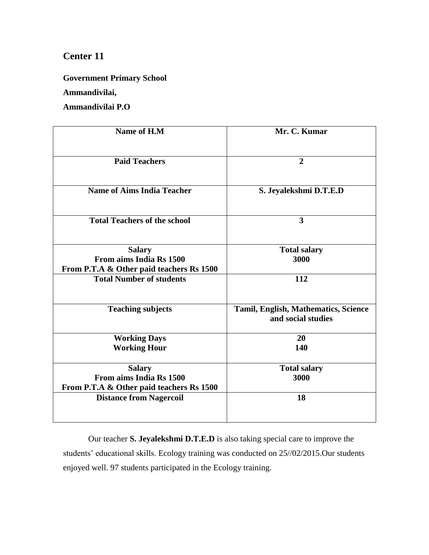**Government Primary School**

**Ammandivilai,**

**Ammandivilai P.O**

| Name of H.M                                                                          | Mr. C. Kumar                                               |
|--------------------------------------------------------------------------------------|------------------------------------------------------------|
| <b>Paid Teachers</b>                                                                 | $\overline{2}$                                             |
| <b>Name of Aims India Teacher</b>                                                    | S. Jeyalekshmi D.T.E.D                                     |
| <b>Total Teachers of the school</b>                                                  | 3                                                          |
| <b>Salary</b><br>From aims India Rs 1500<br>From P.T.A & Other paid teachers Rs 1500 | <b>Total salary</b><br>3000                                |
| <b>Total Number of students</b>                                                      | 112                                                        |
| <b>Teaching subjects</b>                                                             | Tamil, English, Mathematics, Science<br>and social studies |
| <b>Working Days</b><br><b>Working Hour</b>                                           | 20<br>140                                                  |
| <b>Salary</b><br>From aims India Rs 1500<br>From P.T.A & Other paid teachers Rs 1500 | <b>Total salary</b><br>3000                                |
| <b>Distance from Nagercoil</b>                                                       | 18                                                         |

Our teacher **S. Jeyalekshmi D.T.E.D** is also taking special care to improve the students' educational skills. Ecology training was conducted on 25//02/2015.Our students enjoyed well. 97 students participated in the Ecology training.